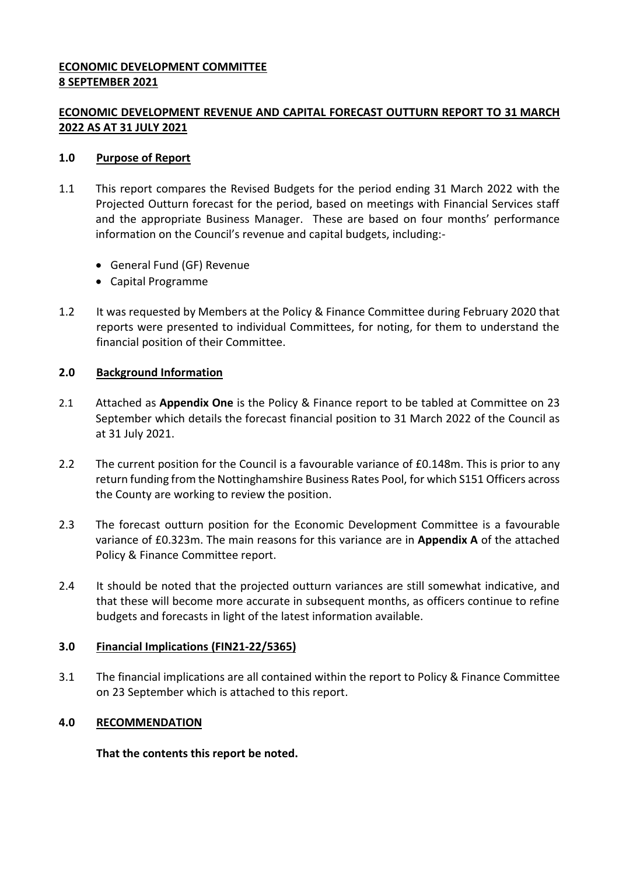#### **ECONOMIC DEVELOPMENT COMMITTEE 8 SEPTEMBER 2021**

## **ECONOMIC DEVELOPMENT REVENUE AND CAPITAL FORECAST OUTTURN REPORT TO 31 MARCH 2022 AS AT 31 JULY 2021**

#### **1.0 Purpose of Report**

- 1.1 This report compares the Revised Budgets for the period ending 31 March 2022 with the Projected Outturn forecast for the period, based on meetings with Financial Services staff and the appropriate Business Manager. These are based on four months' performance information on the Council's revenue and capital budgets, including:-
	- General Fund (GF) Revenue
	- Capital Programme
- 1.2 It was requested by Members at the Policy & Finance Committee during February 2020 that reports were presented to individual Committees, for noting, for them to understand the financial position of their Committee.

#### **2.0 Background Information**

- 2.1 Attached as **Appendix One** is the Policy & Finance report to be tabled at Committee on 23 September which details the forecast financial position to 31 March 2022 of the Council as at 31 July 2021.
- 2.2 The current position for the Council is a favourable variance of £0.148m. This is prior to any return funding from the Nottinghamshire Business Rates Pool, for which S151 Officers across the County are working to review the position.
- 2.3 The forecast outturn position for the Economic Development Committee is a favourable variance of £0.323m. The main reasons for this variance are in **Appendix A** of the attached Policy & Finance Committee report.
- 2.4 It should be noted that the projected outturn variances are still somewhat indicative, and that these will become more accurate in subsequent months, as officers continue to refine budgets and forecasts in light of the latest information available.

## **3.0 Financial Implications (FIN21-22/5365)**

3.1 The financial implications are all contained within the report to Policy & Finance Committee on 23 September which is attached to this report.

## **4.0 RECOMMENDATION**

**That the contents this report be noted.**